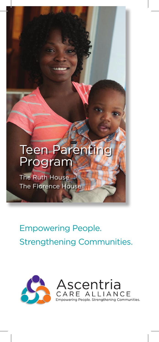# Teen Parenting Program

The Ruth House The Florence House

# Empowering People. Strengthening Communities.